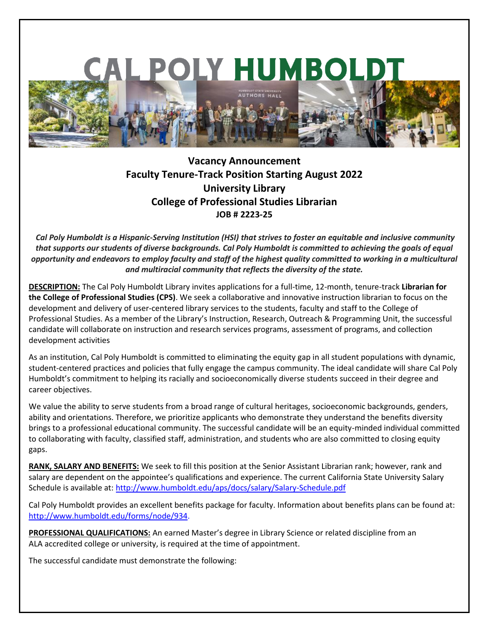

## **Vacancy Announcement Faculty Tenure-Track Position Starting August 2022 University Library College of Professional Studies Librarian JOB # 2223-25**

*Cal Poly Humboldt is a Hispanic-Serving Institution (HSI) that strives to foster an equitable and inclusive community that supports our students of diverse backgrounds. Cal Poly Humboldt is committed to achieving the goals of equal opportunity and endeavors to employ faculty and staff of the highest quality committed to working in a multicultural and multiracial community that reflects the diversity of the state.* 

**DESCRIPTION:** The Cal Poly Humboldt Library invites applications for a full-time, 12-month, tenure-track **Librarian for the College of Professional Studies (CPS)**. We seek a collaborative and innovative instruction librarian to focus on the development and delivery of user-centered library services to the students, faculty and staff to the College of Professional Studies. As a member of the Library's Instruction, Research, Outreach & Programming Unit, the successful candidate will collaborate on instruction and research services programs, assessment of programs, and collection development activities

As an institution, Cal Poly Humboldt is committed to eliminating the equity gap in all student populations with dynamic, student-centered practices and policies that fully engage the campus community. The ideal candidate will share Cal Poly Humboldt's commitment to helping its racially and socioeconomically diverse students succeed in their degree and career objectives.

We value the ability to serve students from a broad range of cultural heritages, socioeconomic backgrounds, genders, ability and orientations. Therefore, we prioritize applicants who demonstrate they understand the benefits diversity brings to a professional educational community. The successful candidate will be an equity-minded individual committed to collaborating with faculty, classified staff, administration, and students who are also committed to closing equity gaps.

**RANK, SALARY AND BENEFITS:** We seek to fill this position at the Senior Assistant Librarian rank; however, rank and salary are dependent on the appointee's qualifications and experience. The current California State University Salary Schedule is available at:<http://www.humboldt.edu/aps/docs/salary/Salary-Schedule.pdf>

Cal Poly Humboldt provides an excellent benefits package for faculty. Information about benefits plans can be found at: [http://www.humboldt.edu/forms/node/934.](http://www.humboldt.edu/forms/node/934)

**PROFESSIONAL QUALIFICATIONS:** An earned Master's degree in Library Science or related discipline from an ALA accredited college or university, is required at the time of appointment.

The successful candidate must demonstrate the following: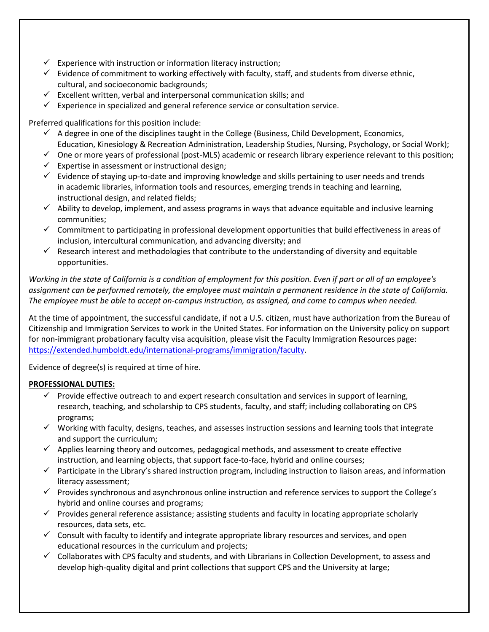- $\checkmark$  Experience with instruction or information literacy instruction;
- $\checkmark$  Evidence of commitment to working effectively with faculty, staff, and students from diverse ethnic, cultural, and socioeconomic backgrounds;
- $\checkmark$  Excellent written, verbal and interpersonal communication skills; and
- $\checkmark$  Experience in specialized and general reference service or consultation service.

Preferred qualifications for this position include:

- $\checkmark$  A degree in one of the disciplines taught in the College (Business, Child Development, Economics, Education, Kinesiology & Recreation Administration, Leadership Studies, Nursing, Psychology, or Social Work);
- $\checkmark$  One or more years of professional (post-MLS) academic or research library experience relevant to this position;
- $\checkmark$  Expertise in assessment or instructional design;
- $\checkmark$  Evidence of staying up-to-date and improving knowledge and skills pertaining to user needs and trends in academic libraries, information tools and resources, emerging trends in teaching and learning, instructional design, and related fields;
- $\checkmark$  Ability to develop, implement, and assess programs in ways that advance equitable and inclusive learning communities;
- $\checkmark$  Commitment to participating in professional development opportunities that build effectiveness in areas of inclusion, intercultural communication, and advancing diversity; and
- $\checkmark$  Research interest and methodologies that contribute to the understanding of diversity and equitable opportunities.

*Working in the state of California is a condition of employment for this position. Even if part or all of an employee's assignment can be performed remotely, the employee must maintain a permanent residence in the state of California. The employee must be able to accept on-campus instruction, as assigned, and come to campus when needed.*

At the time of appointment, the successful candidate, if not a U.S. citizen, must have authorization from the Bureau of Citizenship and Immigration Services to work in the United States. For information on the University policy on support for non-immigrant probationary faculty visa acquisition, please visit the Faculty Immigration Resources page: [https://extended.humboldt.edu/international-programs/immigration/faculty.](https://extended.humboldt.edu/international-programs/immigration/faculty)

Evidence of degree(s) is required at time of hire.

## **PROFESSIONAL DUTIES:**

- $\checkmark$  Provide effective outreach to and expert research consultation and services in support of learning, research, teaching, and scholarship to CPS students, faculty, and staff; including collaborating on CPS programs;
- $\checkmark$  Working with faculty, designs, teaches, and assesses instruction sessions and learning tools that integrate and support the curriculum;
- $\checkmark$  Applies learning theory and outcomes, pedagogical methods, and assessment to create effective instruction, and learning objects, that support face-to-face, hybrid and online courses;
- $\checkmark$  Participate in the Library's shared instruction program, including instruction to liaison areas, and information literacy assessment;
- $\checkmark$  Provides synchronous and asynchronous online instruction and reference services to support the College's hybrid and online courses and programs;
- $\checkmark$  Provides general reference assistance; assisting students and faculty in locating appropriate scholarly resources, data sets, etc.
- $\checkmark$  Consult with faculty to identify and integrate appropriate library resources and services, and open educational resources in the curriculum and projects;
- $\checkmark$  Collaborates with CPS faculty and students, and with Librarians in Collection Development, to assess and develop high-quality digital and print collections that support CPS and the University at large;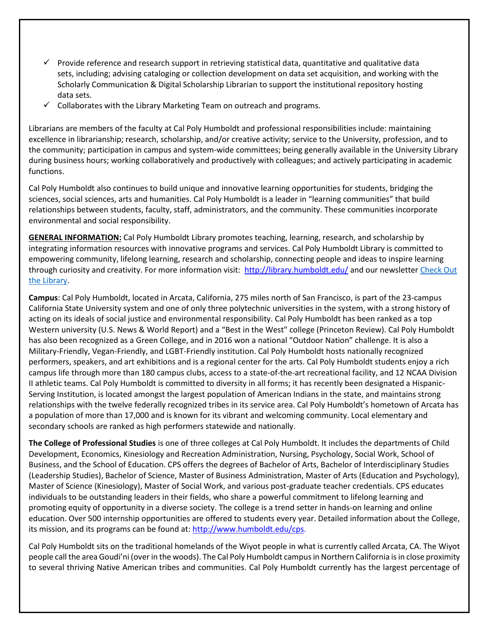- $\checkmark$  Provide reference and research support in retrieving statistical data, quantitative and qualitative data sets, including; advising cataloging or collection development on data set acquisition, and working with the Scholarly Communication & Digital Scholarship Librarian to support the institutional repository hosting data sets.
- $\checkmark$  Collaborates with the Library Marketing Team on outreach and programs.

Librarians are members of the faculty at Cal Poly Humboldt and professional responsibilities include: maintaining excellence in librarianship; research, scholarship, and/or creative activity; service to the University, profession, and to the community; participation in campus and system-wide committees; being generally available in the University Library during business hours; working collaboratively and productively with colleagues; and actively participating in academic functions.

Cal Poly Humboldt also continues to build unique and innovative learning opportunities for students, bridging the sciences, social sciences, arts and humanities. Cal Poly Humboldt is a leader in "learning communities" that build relationships between students, faculty, staff, administrators, and the community. These communities incorporate environmental and social responsibility.

**GENERAL INFORMATION:** Cal Poly Humboldt Library promotes teaching, learning, research, and scholarship by integrating information resources with innovative programs and services. Cal Poly Humboldt Library is committed to empowering community, lifelong learning, research and scholarship, connecting people and ideas to inspire learning through curiosity and creativity. For more information visit: http://library.humboldt.edu/ and our newsletter Check Out [the Library.](https://library.humboldt.edu/about/newsletters)

**Campus**: Cal Poly Humboldt, located in Arcata, California, 275 miles north of San Francisco, is part of the 23-campus California State University system and one of only three polytechnic universities in the system, with a strong history of acting on its ideals of social justice and environmental responsibility. Cal Poly Humboldt has been ranked as a top Western university (U.S. News & World Report) and a "Best in the West" college (Princeton Review). Cal Poly Humboldt has also been recognized as a Green College, and in 2016 won a national "Outdoor Nation" challenge. It is also a Military-Friendly, Vegan-Friendly, and LGBT-Friendly institution. Cal Poly Humboldt hosts nationally recognized performers, speakers, and art exhibitions and is a regional center for the arts. Cal Poly Humboldt students enjoy a rich campus life through more than 180 campus clubs, access to a state-of-the-art recreational facility, and 12 NCAA Division II athletic teams. Cal Poly Humboldt is committed to diversity in all forms; it has recently been designated a Hispanic-Serving Institution, is located amongst the largest population of American Indians in the state, and maintains strong relationships with the twelve federally recognized tribes in its service area. Cal Poly Humboldt's hometown of Arcata has a population of more than 17,000 and is known for its vibrant and welcoming community. Local elementary and secondary schools are ranked as high performers statewide and nationally.

**The College of Professional Studies** is one of three colleges at Cal Poly Humboldt. It includes the departments of Child Development, Economics, Kinesiology and Recreation Administration, Nursing, Psychology, Social Work, School of Business, and the School of Education. CPS offers the degrees of Bachelor of Arts, Bachelor of Interdisciplinary Studies (Leadership Studies), Bachelor of Science, Master of Business Administration, Master of Arts (Education and Psychology), Master of Science (Kinesiology), Master of Social Work, and various post-graduate teacher credentials. CPS educates individuals to be outstanding leaders in their fields, who share a powerful commitment to lifelong learning and promoting equity of opportunity in a diverse society. The college is a trend setter in hands-on learning and online education. Over 500 internship opportunities are offered to students every year. Detailed information about the College, its mission, and its programs can be found at: http://www.humboldt.edu/cps.

Cal Poly Humboldt sits on the traditional homelands of the Wiyot people in what is currently called Arcata, CA. The Wiyot people call the area Goudi'ni (over in the woods). The Cal Poly Humboldt campus in Northern California is in close proximity to several thriving Native American tribes and communities. Cal Poly Humboldt currently has the largest percentage of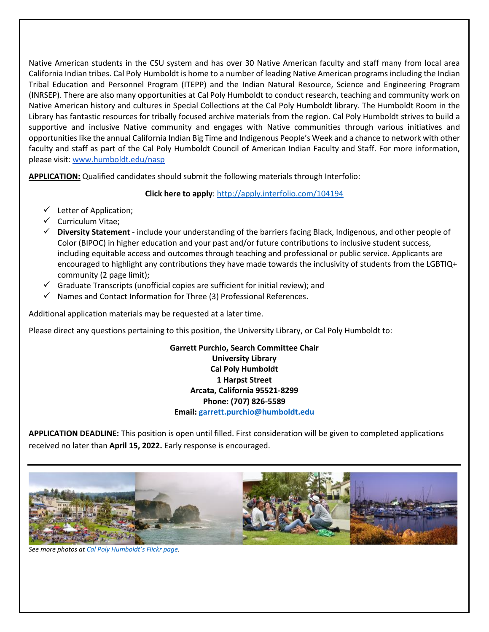Native American students in the CSU system and has over 30 Native American faculty and staff many from local area California Indian tribes. Cal Poly Humboldt is home to a number of leading Native American programs including the Indian Tribal Education and Personnel Program (ITEPP) and the Indian Natural Resource, Science and Engineering Program (INRSEP). There are also many opportunities at Cal Poly Humboldt to conduct research, teaching and community work on Native American history and cultures in Special Collections at the Cal Poly Humboldt library. The Humboldt Room in the Library has fantastic resources for tribally focused archive materials from the region. Cal Poly Humboldt strives to build a supportive and inclusive Native community and engages with Native communities through various initiatives and opportunities like the annual California Indian Big Time and Indigenous People's Week and a chance to network with other faculty and staff as part of the Cal Poly Humboldt Council of American Indian Faculty and Staff. For more information, please visit[:](http://www.humboldt.edu/nasp) [www.humboldt.edu/nasp](http://www.humboldt.edu/nasp)

**APPLICATION:** Qualified candidates should submit the following materials through Interfolio:

**Click here to apply**[: http://apply.interfolio.com/104194](http://apply.interfolio.com/104194)

- $\checkmark$  Letter of Application;
- $\checkmark$  Curriculum Vitae:
- **Diversity Statement** include your understanding of the barriers facing Black, Indigenous, and other people of Color (BIPOC) in higher education and your past and/or future contributions to inclusive student success, including equitable access and outcomes through teaching and professional or public service. Applicants are encouraged to highlight any contributions they have made towards the inclusivity of students from the LGBTIQ+ community (2 page limit);
- $\checkmark$  Graduate Transcripts (unofficial copies are sufficient for initial review); and
- $\checkmark$  Names and Contact Information for Three (3) Professional References.

Additional application materials may be requested at a later time.

Please direct any questions pertaining to this position, the University Library, or Cal Poly Humboldt to:

**Garrett Purchio, Search Committee Chair University Library Cal Poly Humboldt 1 Harpst Street Arcata, California 95521-8299 Phone: (707) 826-5589 Email: [garrett.purchio@humboldt.edu](mailto:garrett.purchio@humboldt.edu)**

**APPLICATION DEADLINE:** This position is open until filled. First consideration will be given to completed applications received no later than **April 15, 2022.** Early response is encouraged.



*See more photos a[t Cal Poly Humboldt](https://www.flickr.com/photos/humboldtstate/albums/with/72157661951987299)'s Flickr page.*